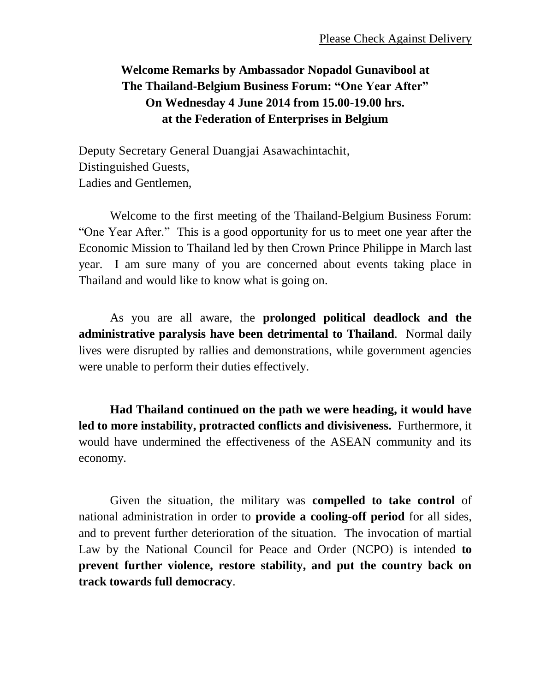## **Welcome Remarks by Ambassador Nopadol Gunavibool at The Thailand-Belgium Business Forum: "One Year After" On Wednesday 4 June 2014 from 15.00-19.00 hrs. at the Federation of Enterprises in Belgium**

Deputy Secretary General Duangjai Asawachintachit, Distinguished Guests, Ladies and Gentlemen,

Welcome to the first meeting of the Thailand-Belgium Business Forum: "One Year After." This is a good opportunity for us to meet one year after the Economic Mission to Thailand led by then Crown Prince Philippe in March last year. I am sure many of you are concerned about events taking place in Thailand and would like to know what is going on.

As you are all aware, the **prolonged political deadlock and the administrative paralysis have been detrimental to Thailand**. Normal daily lives were disrupted by rallies and demonstrations, while government agencies were unable to perform their duties effectively.

**Had Thailand continued on the path we were heading, it would have led to more instability, protracted conflicts and divisiveness.** Furthermore, it would have undermined the effectiveness of the ASEAN community and its economy.

Given the situation, the military was **compelled to take control** of national administration in order to **provide a cooling-off period** for all sides, and to prevent further deterioration of the situation. The invocation of martial Law by the National Council for Peace and Order (NCPO) is intended **to prevent further violence, restore stability, and put the country back on track towards full democracy**.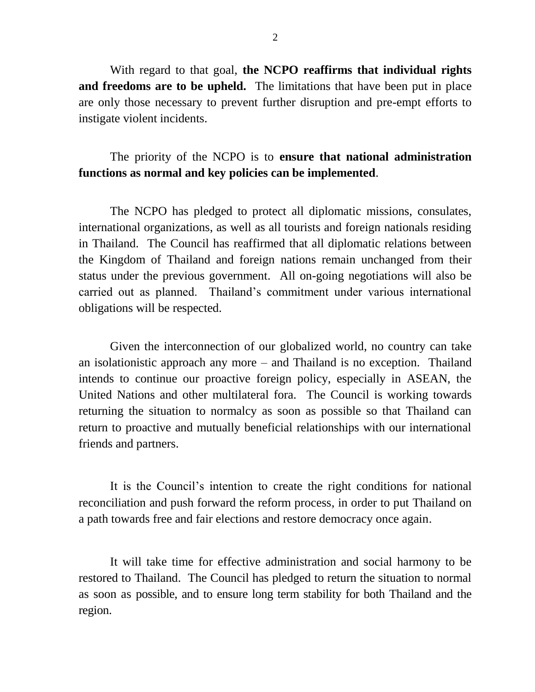With regard to that goal, **the NCPO reaffirms that individual rights and freedoms are to be upheld.** The limitations that have been put in place are only those necessary to prevent further disruption and pre-empt efforts to instigate violent incidents.

## The priority of the NCPO is to **ensure that national administration functions as normal and key policies can be implemented**.

The NCPO has pledged to protect all diplomatic missions, consulates, international organizations, as well as all tourists and foreign nationals residing in Thailand. The Council has reaffirmed that all diplomatic relations between the Kingdom of Thailand and foreign nations remain unchanged from their status under the previous government. All on-going negotiations will also be carried out as planned. Thailand's commitment under various international obligations will be respected.

Given the interconnection of our globalized world, no country can take an isolationistic approach any more – and Thailand is no exception. Thailand intends to continue our proactive foreign policy, especially in ASEAN, the United Nations and other multilateral fora. The Council is working towards returning the situation to normalcy as soon as possible so that Thailand can return to proactive and mutually beneficial relationships with our international friends and partners.

It is the Council's intention to create the right conditions for national reconciliation and push forward the reform process, in order to put Thailand on a path towards free and fair elections and restore democracy once again.

It will take time for effective administration and social harmony to be restored to Thailand. The Council has pledged to return the situation to normal as soon as possible, and to ensure long term stability for both Thailand and the region.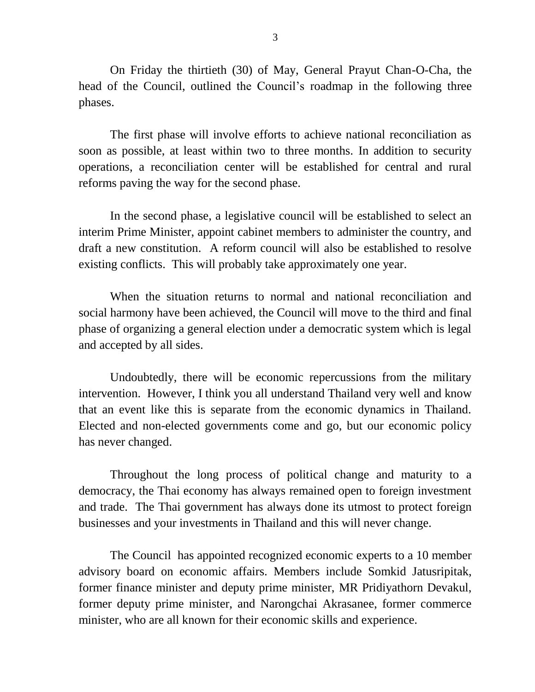On Friday the thirtieth (30) of May, General Prayut Chan-O-Cha, the head of the Council, outlined the Council's roadmap in the following three phases.

The first phase will involve efforts to achieve national reconciliation as soon as possible, at least within two to three months. In addition to security operations, a reconciliation center will be established for central and rural reforms paving the way for the second phase.

In the second phase, a legislative council will be established to select an interim Prime Minister, appoint cabinet members to administer the country, and draft a new constitution. A reform council will also be established to resolve existing conflicts. This will probably take approximately one year.

When the situation returns to normal and national reconciliation and social harmony have been achieved, the Council will move to the third and final phase of organizing a general election under a democratic system which is legal and accepted by all sides.

Undoubtedly, there will be economic repercussions from the military intervention. However, I think you all understand Thailand very well and know that an event like this is separate from the economic dynamics in Thailand. Elected and non-elected governments come and go, but our economic policy has never changed.

Throughout the long process of political change and maturity to a democracy, the Thai economy has always remained open to foreign investment and trade. The Thai government has always done its utmost to protect foreign businesses and your investments in Thailand and this will never change.

The Council has appointed recognized economic experts to a 10 member advisory board on economic affairs. Members include Somkid Jatusripitak, former finance minister and deputy prime minister, MR Pridiyathorn Devakul, former deputy prime minister, and Narongchai Akrasanee, former commerce minister, who are all known for their economic skills and experience.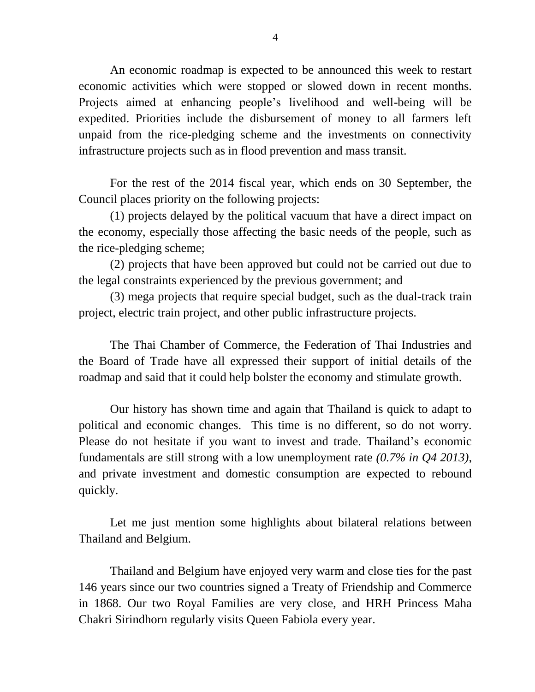An economic roadmap is expected to be announced this week to restart economic activities which were stopped or slowed down in recent months. Projects aimed at enhancing people's livelihood and well-being will be expedited. Priorities include the disbursement of money to all farmers left unpaid from the rice-pledging scheme and the investments on connectivity infrastructure projects such as in flood prevention and mass transit.

For the rest of the 2014 fiscal year, which ends on 30 September, the Council places priority on the following projects:

(1) projects delayed by the political vacuum that have a direct impact on the economy, especially those affecting the basic needs of the people, such as the rice-pledging scheme;

(2) projects that have been approved but could not be carried out due to the legal constraints experienced by the previous government; and

(3) mega projects that require special budget, such as the dual-track train project, electric train project, and other public infrastructure projects.

The Thai Chamber of Commerce, the Federation of Thai Industries and the Board of Trade have all expressed their support of initial details of the roadmap and said that it could help bolster the economy and stimulate growth.

Our history has shown time and again that Thailand is quick to adapt to political and economic changes. This time is no different, so do not worry. Please do not hesitate if you want to invest and trade. Thailand's economic fundamentals are still strong with a low unemployment rate *(0.7% in Q4 2013)*, and private investment and domestic consumption are expected to rebound quickly.

Let me just mention some highlights about bilateral relations between Thailand and Belgium.

Thailand and Belgium have enjoyed very warm and close ties for the past 146 years since our two countries signed a Treaty of Friendship and Commerce in 1868. Our two Royal Families are very close, and HRH Princess Maha Chakri Sirindhorn regularly visits Queen Fabiola every year.